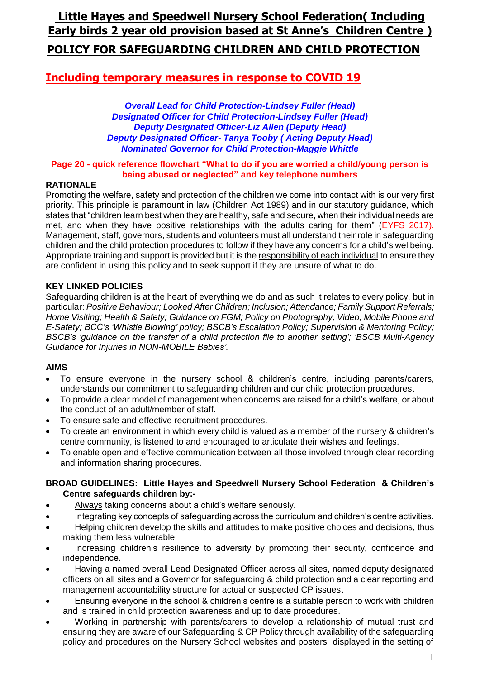# **Little Hayes and Speedwell Nursery School Federation( Including Early birds 2 year old provision based at St Anne's Children Centre ) POLICY FOR SAFEGUARDING CHILDREN AND CHILD PROTECTION**

# **Including temporary measures in response to COVID 19**

*Overall Lead for Child Protection-Lindsey Fuller (Head) Designated Officer for Child Protection-Lindsey Fuller (Head) Deputy Designated Officer-Liz Allen (Deputy Head) Deputy Designated Officer- Tanya Tooby ( Acting Deputy Head) Nominated Governor for Child Protection-Maggie Whittle*

#### **Page 20 - quick reference flowchart "What to do if you are worried a child/young person is being abused or neglected" and key telephone numbers**

#### **RATIONALE**

Promoting the welfare, safety and protection of the children we come into contact with is our very first priority. This principle is paramount in law (Children Act 1989) and in our statutory guidance, which states that "children learn best when they are healthy, safe and secure, when their individual needs are met, and when they have positive relationships with the adults caring for them" (EYFS 2017). Management, staff, governors, students and volunteers must all understand their role in safeguarding children and the child protection procedures to follow if they have any concerns for a child's wellbeing. Appropriate training and support is provided but it is the responsibility of each individual to ensure they are confident in using this policy and to seek support if they are unsure of what to do.

#### **KEY LINKED POLICIES**

Safeguarding children is at the heart of everything we do and as such it relates to every policy, but in particular: *Positive Behaviour; Looked After Children; Inclusion; Attendance; Family Support Referrals; Home Visiting; Health & Safety; Guidance on FGM; Policy on Photography, Video, Mobile Phone and E-Safety; BCC's 'Whistle Blowing' policy; BSCB's Escalation Policy; Supervision & Mentoring Policy; BSCB's 'guidance on the transfer of a child protection file to another setting'; 'BSCB Multi-Agency Guidance for Injuries in NON-MOBILE Babies'.*

#### **AIMS**

- To ensure everyone in the nursery school & children's centre, including parents/carers, understands our commitment to safeguarding children and our child protection procedures.
- To provide a clear model of management when concerns are raised for a child's welfare, or about the conduct of an adult/member of staff.
- To ensure safe and effective recruitment procedures.
- To create an environment in which every child is valued as a member of the nursery & children's centre community, is listened to and encouraged to articulate their wishes and feelings.
- To enable open and effective communication between all those involved through clear recording and information sharing procedures.

#### **BROAD GUIDELINES: Little Hayes and Speedwell Nursery School Federation & Children's Centre safeguards children by:-**

- Always taking concerns about a child's welfare seriously.
- Integrating key concepts of safeguarding across the curriculum and children's centre activities.
- Helping children develop the skills and attitudes to make positive choices and decisions, thus making them less vulnerable.
- Increasing children's resilience to adversity by promoting their security, confidence and independence.
- Having a named overall Lead Designated Officer across all sites, named deputy designated officers on all sites and a Governor for safeguarding & child protection and a clear reporting and management accountability structure for actual or suspected CP issues.
- Ensuring everyone in the school & children's centre is a suitable person to work with children and is trained in child protection awareness and up to date procedures.
- Working in partnership with parents/carers to develop a relationship of mutual trust and ensuring they are aware of our Safeguarding & CP Policy through availability of the safeguarding policy and procedures on the Nursery School websites and posters displayed in the setting of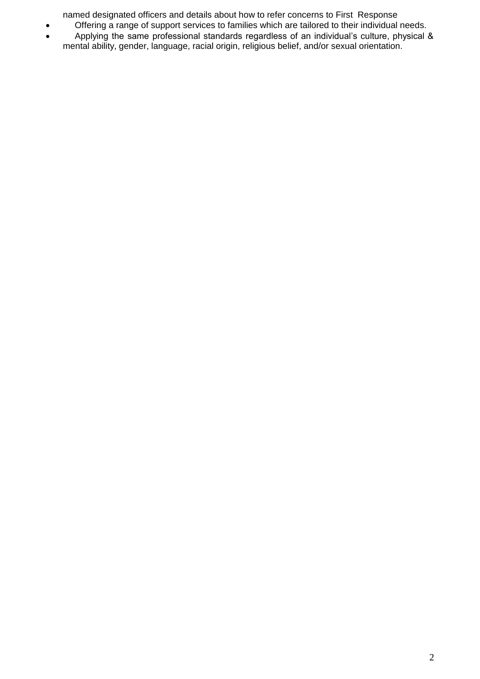named designated officers and details about how to refer concerns to First Response

- Offering a range of support services to families which are tailored to their individual needs.
- Applying the same professional standards regardless of an individual's culture, physical & mental ability, gender, language, racial origin, religious belief, and/or sexual orientation.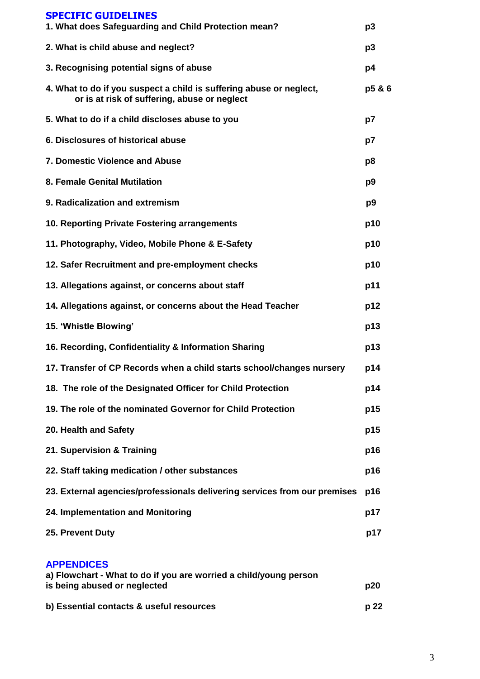| <b>SPECIFIC GUIDELINES</b>                                                                                          |                |
|---------------------------------------------------------------------------------------------------------------------|----------------|
| 1. What does Safeguarding and Child Protection mean?                                                                | p <sub>3</sub> |
| 2. What is child abuse and neglect?                                                                                 | p3             |
| 3. Recognising potential signs of abuse                                                                             | p4             |
| 4. What to do if you suspect a child is suffering abuse or neglect,<br>or is at risk of suffering, abuse or neglect | p5 & 6         |
| 5. What to do if a child discloses abuse to you                                                                     | p7             |
| 6. Disclosures of historical abuse                                                                                  | p7             |
| <b>7. Domestic Violence and Abuse</b>                                                                               | p8             |
| 8. Female Genital Mutilation                                                                                        | p9             |
| 9. Radicalization and extremism                                                                                     | p <sub>9</sub> |
| 10. Reporting Private Fostering arrangements                                                                        | p10            |
| 11. Photography, Video, Mobile Phone & E-Safety                                                                     | p10            |
| 12. Safer Recruitment and pre-employment checks                                                                     | p10            |
| 13. Allegations against, or concerns about staff                                                                    | p11            |
| 14. Allegations against, or concerns about the Head Teacher                                                         | p12            |
| 15. 'Whistle Blowing'                                                                                               | p13            |
| 16. Recording, Confidentiality & Information Sharing                                                                | p13            |
| 17. Transfer of CP Records when a child starts school/changes nursery                                               | p14            |
| 18. The role of the Designated Officer for Child Protection                                                         | p14            |
| 19. The role of the nominated Governor for Child Protection                                                         | p15            |
| 20. Health and Safety                                                                                               | p15            |
| 21. Supervision & Training                                                                                          | p16            |
| 22. Staff taking medication / other substances                                                                      | p16            |
| 23. External agencies/professionals delivering services from our premises                                           | p16            |
| 24. Implementation and Monitoring                                                                                   | p17            |
| 25. Prevent Duty                                                                                                    | p17            |
| <b>APPENDICES</b><br>a) Flowchart - What to do if you are worried a child/young person                              |                |
| is being abused or neglected                                                                                        | p20            |
| b) Essential contacts & useful resources                                                                            | p 22           |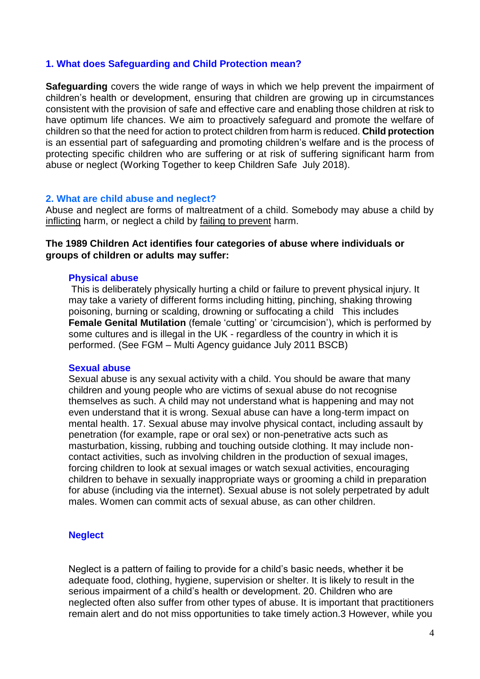#### **1. What does Safeguarding and Child Protection mean?**

**Safeguarding** covers the wide range of ways in which we help prevent the impairment of children's health or development, ensuring that children are growing up in circumstances consistent with the provision of safe and effective care and enabling those children at risk to have optimum life chances. We aim to proactively safeguard and promote the welfare of children so that the need for action to protect children from harm is reduced. **Child protection**  is an essential part of safeguarding and promoting children's welfare and is the process of protecting specific children who are suffering or at risk of suffering significant harm from abuse or neglect (Working Together to keep Children Safe July 2018).

#### **2. What are child abuse and neglect?**

Abuse and neglect are forms of maltreatment of a child. Somebody may abuse a child by inflicting harm, or neglect a child by failing to prevent harm.

## **The 1989 Children Act identifies four categories of abuse where individuals or groups of children or adults may suffer:**

#### **Physical abuse**

This is deliberately physically hurting a child or failure to prevent physical injury. It may take a variety of different forms including hitting, pinching, shaking throwing poisoning, burning or scalding, drowning or suffocating a child This includes **Female Genital Mutilation** (female 'cutting' or 'circumcision'), which is performed by some cultures and is illegal in the UK - regardless of the country in which it is performed. (See FGM – Multi Agency guidance July 2011 BSCB)

#### **Sexual abuse**

Sexual abuse is any sexual activity with a child. You should be aware that many children and young people who are victims of sexual abuse do not recognise themselves as such. A child may not understand what is happening and may not even understand that it is wrong. Sexual abuse can have a long-term impact on mental health. 17. Sexual abuse may involve physical contact, including assault by penetration (for example, rape or oral sex) or non-penetrative acts such as masturbation, kissing, rubbing and touching outside clothing. It may include noncontact activities, such as involving children in the production of sexual images, forcing children to look at sexual images or watch sexual activities, encouraging children to behave in sexually inappropriate ways or grooming a child in preparation for abuse (including via the internet). Sexual abuse is not solely perpetrated by adult males. Women can commit acts of sexual abuse, as can other children.

#### **Neglect**

Neglect is a pattern of failing to provide for a child's basic needs, whether it be adequate food, clothing, hygiene, supervision or shelter. It is likely to result in the serious impairment of a child's health or development. 20. Children who are neglected often also suffer from other types of abuse. It is important that practitioners remain alert and do not miss opportunities to take timely action.3 However, while you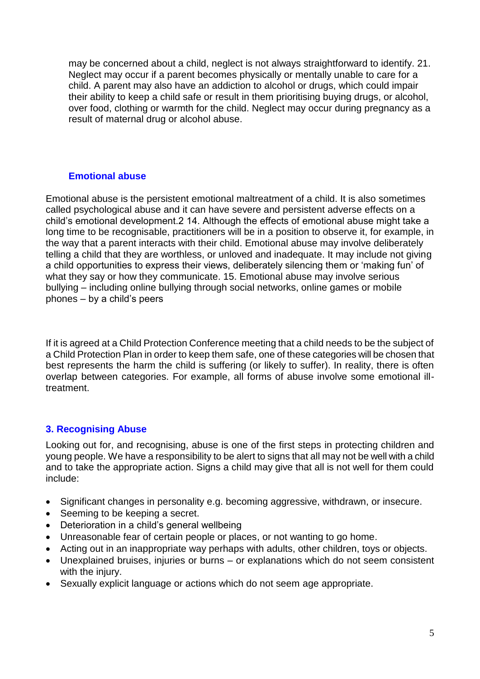may be concerned about a child, neglect is not always straightforward to identify. 21. Neglect may occur if a parent becomes physically or mentally unable to care for a child. A parent may also have an addiction to alcohol or drugs, which could impair their ability to keep a child safe or result in them prioritising buying drugs, or alcohol, over food, clothing or warmth for the child. Neglect may occur during pregnancy as a result of maternal drug or alcohol abuse.

# **Emotional abuse**

Emotional abuse is the persistent emotional maltreatment of a child. It is also sometimes called psychological abuse and it can have severe and persistent adverse effects on a child's emotional development.2 14. Although the effects of emotional abuse might take a long time to be recognisable, practitioners will be in a position to observe it, for example, in the way that a parent interacts with their child. Emotional abuse may involve deliberately telling a child that they are worthless, or unloved and inadequate. It may include not giving a child opportunities to express their views, deliberately silencing them or 'making fun' of what they say or how they communicate. 15. Emotional abuse may involve serious bullying – including online bullying through social networks, online games or mobile phones – by a child's peers

If it is agreed at a Child Protection Conference meeting that a child needs to be the subject of a Child Protection Plan in order to keep them safe, one of these categories will be chosen that best represents the harm the child is suffering (or likely to suffer). In reality, there is often overlap between categories. For example, all forms of abuse involve some emotional illtreatment.

# **3. Recognising Abuse**

Looking out for, and recognising, abuse is one of the first steps in protecting children and young people. We have a responsibility to be alert to signs that all may not be well with a child and to take the appropriate action. Signs a child may give that all is not well for them could include:

- Significant changes in personality e.g. becoming aggressive, withdrawn, or insecure.
- Seeming to be keeping a secret.
- Deterioration in a child's general wellbeing
- Unreasonable fear of certain people or places, or not wanting to go home.
- Acting out in an inappropriate way perhaps with adults, other children, toys or objects.
- Unexplained bruises, injuries or burns or explanations which do not seem consistent with the injury.
- Sexually explicit language or actions which do not seem age appropriate.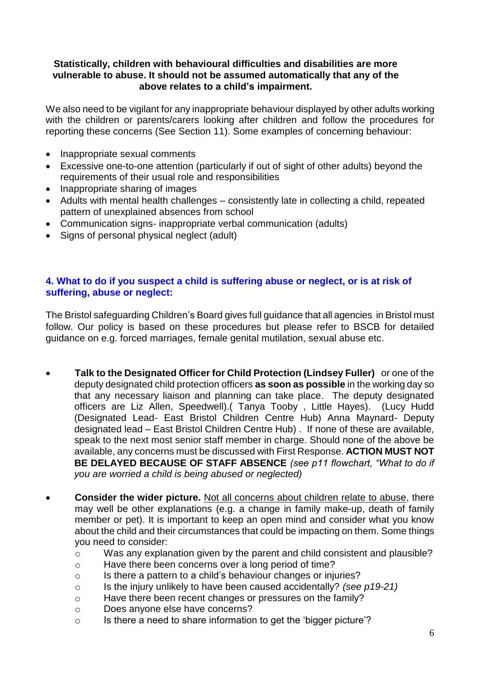## **Statistically, children with behavioural difficulties and disabilities are more vulnerable to abuse. It should not be assumed automatically that any of the above relates to a child's impairment.**

We also need to be vigilant for any inappropriate behaviour displayed by other adults working with the children or parents/carers looking after children and follow the procedures for reporting these concerns (See Section 11). Some examples of concerning behaviour:

- Inappropriate sexual comments
- Excessive one-to-one attention (particularly if out of sight of other adults) beyond the requirements of their usual role and responsibilities
- Inappropriate sharing of images
- Adults with mental health challenges consistently late in collecting a child, repeated pattern of unexplained absences from school
- Communication signs- inappropriate verbal communication (adults)
- Signs of personal physical neglect (adult)

### **4. What to do if you suspect a child is suffering abuse or neglect, or is at risk of suffering, abuse or neglect:**

The Bristol safeguarding Children's Board gives full guidance that all agencies in Bristol must follow. Our policy is based on these procedures but please refer to BSCB for detailed guidance on e.g. forced marriages, female genital mutilation, sexual abuse etc.

- **Talk to the Designated Officer for Child Protection (Lindsey Fuller)** or one of the deputy designated child protection officers **as soon as possible** in the working day so that any necessary liaison and planning can take place. The deputy designated officers are Liz Allen, Speedwell).( Tanya Tooby , Little Hayes). (Lucy Hudd (Designated Lead- East Bristol Children Centre Hub) Anna Maynard- Deputy designated lead – East Bristol Children Centre Hub) . If none of these are available, speak to the next most senior staff member in charge. Should none of the above be available, any concerns must be discussed with First Response. **ACTION MUST NOT BE DELAYED BECAUSE OF STAFF ABSENCE** *(see p11 flowchart, "What to do if you are worried a child is being abused or neglected)*
- **Consider the wider picture.** Not all concerns about children relate to abuse, there may well be other explanations (e.g. a change in family make-up, death of family member or pet). It is important to keep an open mind and consider what you know about the child and their circumstances that could be impacting on them. Some things you need to consider:
	- o Was any explanation given by the parent and child consistent and plausible?
	- o Have there been concerns over a long period of time?
	- o Is there a pattern to a child's behaviour changes or injuries?
	- o Is the injury unlikely to have been caused accidentally? *(see p19-21)*
	- o Have there been recent changes or pressures on the family?
	- o Does anyone else have concerns?
	- o Is there a need to share information to get the 'bigger picture'?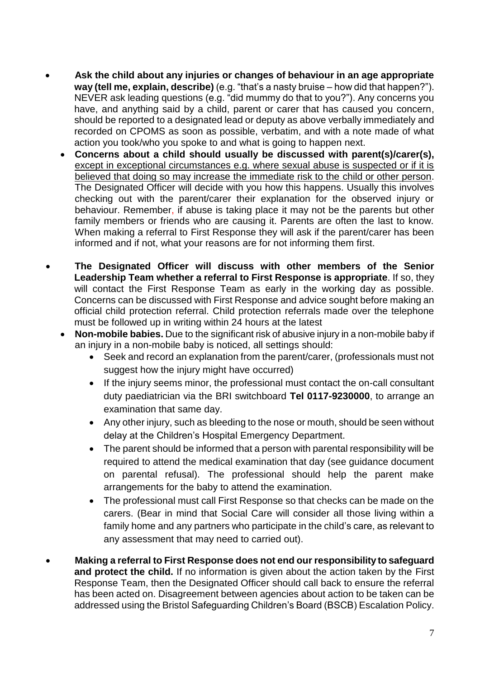- **Ask the child about any injuries or changes of behaviour in an age appropriate way (tell me, explain, describe)** (e.g. "that's a nasty bruise – how did that happen?"). NEVER ask leading questions (e.g. "did mummy do that to you?"). Any concerns you have, and anything said by a child, parent or carer that has caused you concern, should be reported to a designated lead or deputy as above verbally immediately and recorded on CPOMS as soon as possible, verbatim, and with a note made of what action you took/who you spoke to and what is going to happen next.
	- **Concerns about a child should usually be discussed with parent(s)/carer(s),** except in exceptional circumstances e.g. where sexual abuse is suspected or if it is believed that doing so may increase the immediate risk to the child or other person. The Designated Officer will decide with you how this happens. Usually this involves checking out with the parent/carer their explanation for the observed injury or behaviour. Remember, if abuse is taking place it may not be the parents but other family members or friends who are causing it. Parents are often the last to know. When making a referral to First Response they will ask if the parent/carer has been informed and if not, what your reasons are for not informing them first.
- **The Designated Officer will discuss with other members of the Senior Leadership Team whether a referral to First Response is appropriate**. If so, they will contact the First Response Team as early in the working day as possible. Concerns can be discussed with First Response and advice sought before making an official child protection referral. Child protection referrals made over the telephone must be followed up in writing within 24 hours at the latest
	- **Non-mobile babies.** Due to the significant risk of abusive injury in a non-mobile baby if an injury in a non-mobile baby is noticed, all settings should:
		- Seek and record an explanation from the parent/carer, (professionals must not suggest how the injury might have occurred)
		- If the injury seems minor, the professional must contact the on-call consultant duty paediatrician via the BRI switchboard **Tel 0117-9230000**, to arrange an examination that same day.
		- Any other injury, such as bleeding to the nose or mouth, should be seen without delay at the Children's Hospital Emergency Department.
		- The parent should be informed that a person with parental responsibility will be required to attend the medical examination that day (see guidance document on parental refusal). The professional should help the parent make arrangements for the baby to attend the examination.
		- The professional must call First Response so that checks can be made on the carers. (Bear in mind that Social Care will consider all those living within a family home and any partners who participate in the child's care, as relevant to any assessment that may need to carried out).
- **Making a referral to First Response does not end our responsibility to safeguard and protect the child.** If no information is given about the action taken by the First Response Team, then the Designated Officer should call back to ensure the referral has been acted on. Disagreement between agencies about action to be taken can be addressed using the Bristol Safeguarding Children's Board (BSCB) Escalation Policy.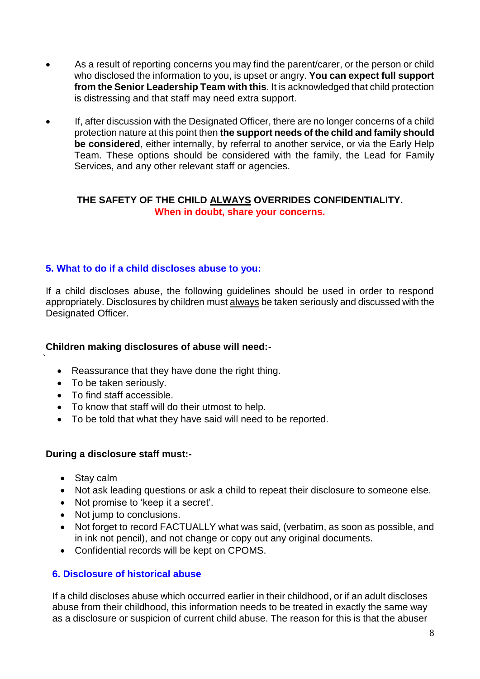- As a result of reporting concerns you may find the parent/carer, or the person or child who disclosed the information to you, is upset or angry. **You can expect full support from the Senior Leadership Team with this**. It is acknowledged that child protection is distressing and that staff may need extra support.
- If, after discussion with the Designated Officer, there are no longer concerns of a child protection nature at this point then **the support needs of the child and family should be considered**, either internally, by referral to another service, or via the Early Help Team. These options should be considered with the family, the Lead for Family Services, and any other relevant staff or agencies.

# **THE SAFETY OF THE CHILD ALWAYS OVERRIDES CONFIDENTIALITY. When in doubt, share your concerns.**

# **5. What to do if a child discloses abuse to you:**

If a child discloses abuse, the following guidelines should be used in order to respond appropriately. Disclosures by children must always be taken seriously and discussed with the Designated Officer.

#### **Children making disclosures of abuse will need:-**

- Reassurance that they have done the right thing.
- To be taken seriously.
- To find staff accessible.
- To know that staff will do their utmost to help.
- To be told that what they have said will need to be reported.

#### **During a disclosure staff must:-**

• Stay calm

`

- Not ask leading questions or ask a child to repeat their disclosure to someone else.
- Not promise to 'keep it a secret'.
- Not jump to conclusions.
- Not forget to record FACTUALLY what was said, (verbatim, as soon as possible, and in ink not pencil), and not change or copy out any original documents.
- Confidential records will be kept on CPOMS.

# **6. Disclosure of historical abuse**

If a child discloses abuse which occurred earlier in their childhood, or if an adult discloses abuse from their childhood, this information needs to be treated in exactly the same way as a disclosure or suspicion of current child abuse. The reason for this is that the abuser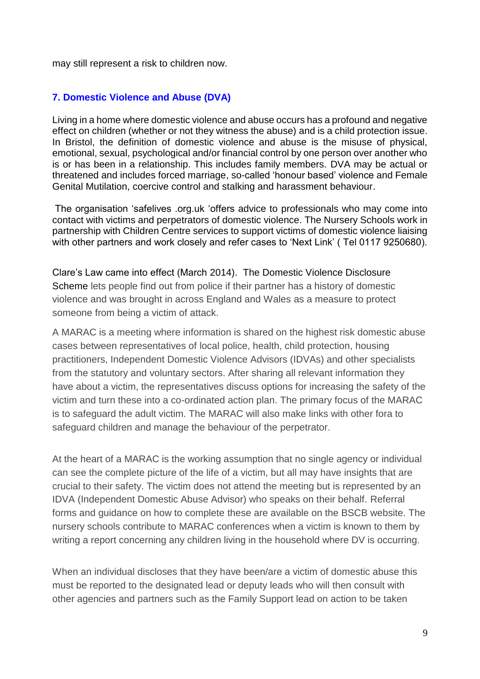may still represent a risk to children now.

# **7. Domestic Violence and Abuse (DVA)**

Living in a home where domestic violence and abuse occurs has a profound and negative effect on children (whether or not they witness the abuse) and is a child protection issue. In Bristol, the definition of domestic violence and abuse is the misuse of physical, emotional, sexual, psychological and/or financial control by one person over another who is or has been in a relationship. This includes family members. DVA may be actual or threatened and includes forced marriage, so-called 'honour based' violence and Female Genital Mutilation, coercive control and stalking and harassment behaviour.

The organisation 'safelives .org.uk 'offers advice to professionals who may come into contact with victims and perpetrators of domestic violence. The Nursery Schools work in partnership with Children Centre services to support victims of domestic violence liaising with other partners and work closely and refer cases to 'Next Link' ( Tel 0117 9250680).

Clare's Law came into effect (March 2014). The Domestic Violence Disclosure Scheme lets people find out from police if their partner has a history of domestic violence and was brought in across England and Wales as a measure to protect someone from being a victim of attack.

A MARAC is a meeting where information is shared on the highest risk domestic abuse cases between representatives of local police, health, child protection, housing practitioners, Independent Domestic Violence Advisors (IDVAs) and other specialists from the statutory and voluntary sectors. After sharing all relevant information they have about a victim, the representatives discuss options for increasing the safety of the victim and turn these into a co-ordinated action plan. The primary focus of the MARAC is to safeguard the adult victim. The MARAC will also make links with other fora to safeguard children and manage the behaviour of the perpetrator.

At the heart of a MARAC is the working assumption that no single agency or individual can see the complete picture of the life of a victim, but all may have insights that are crucial to their safety. The victim does not attend the meeting but is represented by an IDVA (Independent Domestic Abuse Advisor) who speaks on their behalf. Referral forms and guidance on how to complete these are available on the BSCB website. The nursery schools contribute to MARAC conferences when a victim is known to them by writing a report concerning any children living in the household where DV is occurring.

When an individual discloses that they have been/are a victim of domestic abuse this must be reported to the designated lead or deputy leads who will then consult with other agencies and partners such as the Family Support lead on action to be taken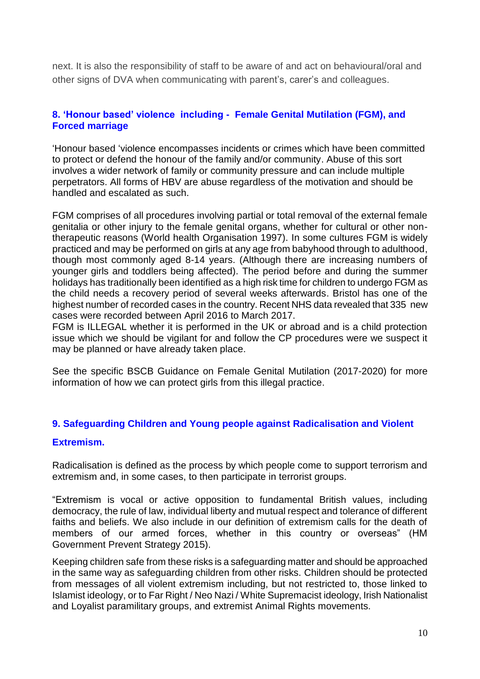next. It is also the responsibility of staff to be aware of and act on behavioural/oral and other signs of DVA when communicating with parent's, carer's and colleagues.

# **8. 'Honour based' violence including - Female Genital Mutilation (FGM), and Forced marriage**

'Honour based 'violence encompasses incidents or crimes which have been committed to protect or defend the honour of the family and/or community. Abuse of this sort involves a wider network of family or community pressure and can include multiple perpetrators. All forms of HBV are abuse regardless of the motivation and should be handled and escalated as such.

FGM comprises of all procedures involving partial or total removal of the external female genitalia or other injury to the female genital organs, whether for cultural or other nontherapeutic reasons (World health Organisation 1997). In some cultures FGM is widely practiced and may be performed on girls at any age from babyhood through to adulthood, though most commonly aged 8-14 years. (Although there are increasing numbers of younger girls and toddlers being affected). The period before and during the summer holidays has traditionally been identified as a high risk time for children to undergo FGM as the child needs a recovery period of several weeks afterwards. Bristol has one of the highest number of recorded cases in the country. Recent NHS data revealed that 335 new cases were recorded between April 2016 to March 2017.

FGM is ILLEGAL whether it is performed in the UK or abroad and is a child protection issue which we should be vigilant for and follow the CP procedures were we suspect it may be planned or have already taken place.

See the specific BSCB Guidance on Female Genital Mutilation (2017-2020) for more information of how we can protect girls from this illegal practice.

# **9. Safeguarding Children and Young people against Radicalisation and Violent**

#### **Extremism.**

Radicalisation is defined as the process by which people come to support terrorism and extremism and, in some cases, to then participate in terrorist groups.

"Extremism is vocal or active opposition to fundamental British values, including democracy, the rule of law, individual liberty and mutual respect and tolerance of different faiths and beliefs. We also include in our definition of extremism calls for the death of members of our armed forces, whether in this country or overseas" (HM Government Prevent Strategy 2015).

Keeping children safe from these risks is a safeguarding matter and should be approached in the same way as safeguarding children from other risks. Children should be protected from messages of all violent extremism including, but not restricted to, those linked to Islamist ideology, or to Far Right / Neo Nazi / White Supremacist ideology, Irish Nationalist and Loyalist paramilitary groups, and extremist Animal Rights movements.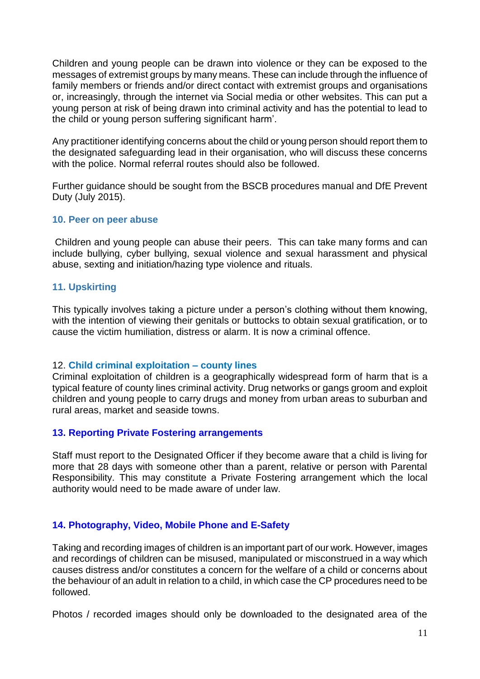Children and young people can be drawn into violence or they can be exposed to the messages of extremist groups by many means. These can include through the influence of family members or friends and/or direct contact with extremist groups and organisations or, increasingly, through the internet via Social media or other websites. This can put a young person at risk of being drawn into criminal activity and has the potential to lead to the child or young person suffering significant harm'.

Any practitioner identifying concerns about the child or young person should report them to the designated safeguarding lead in their organisation, who will discuss these concerns with the police. Normal referral routes should also be followed.

Further guidance should be sought from the BSCB procedures manual and DfE Prevent Duty (July 2015).

#### **10. Peer on peer abuse**

Children and young people can abuse their peers. This can take many forms and can include bullying, cyber bullying, sexual violence and sexual harassment and physical abuse, sexting and initiation/hazing type violence and rituals.

#### **11. Upskirting**

This typically involves taking a picture under a person's clothing without them knowing, with the intention of viewing their genitals or buttocks to obtain sexual gratification, or to cause the victim humiliation, distress or alarm. It is now a criminal offence.

#### 12. **Child criminal exploitation – county lines**

Criminal exploitation of children is a geographically widespread form of harm that is a typical feature of county lines criminal activity. Drug networks or gangs groom and exploit children and young people to carry drugs and money from urban areas to suburban and rural areas, market and seaside towns.

#### **13. Reporting Private Fostering arrangements**

Staff must report to the Designated Officer if they become aware that a child is living for more that 28 days with someone other than a parent, relative or person with Parental Responsibility. This may constitute a Private Fostering arrangement which the local authority would need to be made aware of under law.

#### **14. Photography, Video, Mobile Phone and E-Safety**

Taking and recording images of children is an important part of our work. However, images and recordings of children can be misused, manipulated or misconstrued in a way which causes distress and/or constitutes a concern for the welfare of a child or concerns about the behaviour of an adult in relation to a child, in which case the CP procedures need to be followed.

Photos / recorded images should only be downloaded to the designated area of the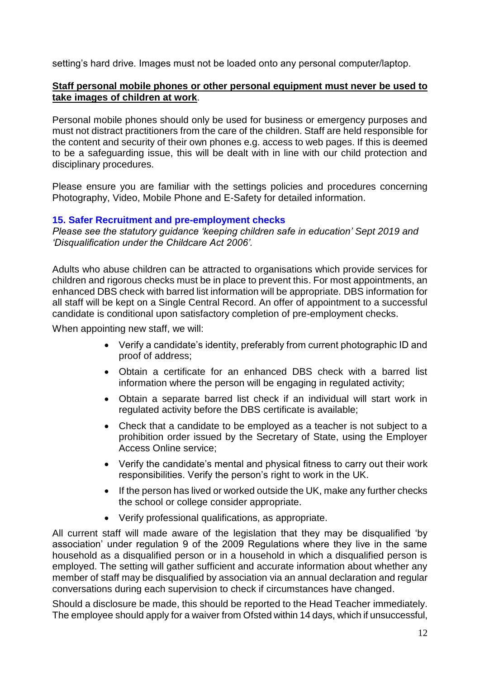setting's hard drive. Images must not be loaded onto any personal computer/laptop.

### **Staff personal mobile phones or other personal equipment must never be used to take images of children at work**.

Personal mobile phones should only be used for business or emergency purposes and must not distract practitioners from the care of the children. Staff are held responsible for the content and security of their own phones e.g. access to web pages. If this is deemed to be a safeguarding issue, this will be dealt with in line with our child protection and disciplinary procedures.

Please ensure you are familiar with the settings policies and procedures concerning Photography, Video, Mobile Phone and E-Safety for detailed information.

#### **15. Safer Recruitment and pre-employment checks**

*Please see the statutory guidance 'keeping children safe in education' Sept 2019 and 'Disqualification under the Childcare Act 2006'.*

Adults who abuse children can be attracted to organisations which provide services for children and rigorous checks must be in place to prevent this. For most appointments, an enhanced DBS check with barred list information will be appropriate. DBS information for all staff will be kept on a Single Central Record. An offer of appointment to a successful candidate is conditional upon satisfactory completion of pre-employment checks.

When appointing new staff, we will:

- Verify a candidate's identity, preferably from current photographic ID and proof of address;
- Obtain a certificate for an enhanced DBS check with a barred list information where the person will be engaging in regulated activity;
- Obtain a separate barred list check if an individual will start work in regulated activity before the DBS certificate is available;
- Check that a candidate to be employed as a teacher is not subject to a prohibition order issued by the Secretary of State, using the Employer Access Online service;
- Verify the candidate's mental and physical fitness to carry out their work responsibilities. Verify the person's right to work in the UK.
- If the person has lived or worked outside the UK, make any further checks the school or college consider appropriate.
- Verify professional qualifications, as appropriate.

All current staff will made aware of the legislation that they may be disqualified 'by association' under regulation 9 of the 2009 Regulations where they live in the same household as a disqualified person or in a household in which a disqualified person is employed. The setting will gather sufficient and accurate information about whether any member of staff may be disqualified by association via an annual declaration and regular conversations during each supervision to check if circumstances have changed.

Should a disclosure be made, this should be reported to the Head Teacher immediately. The employee should apply for a waiver from Ofsted within 14 days, which if unsuccessful,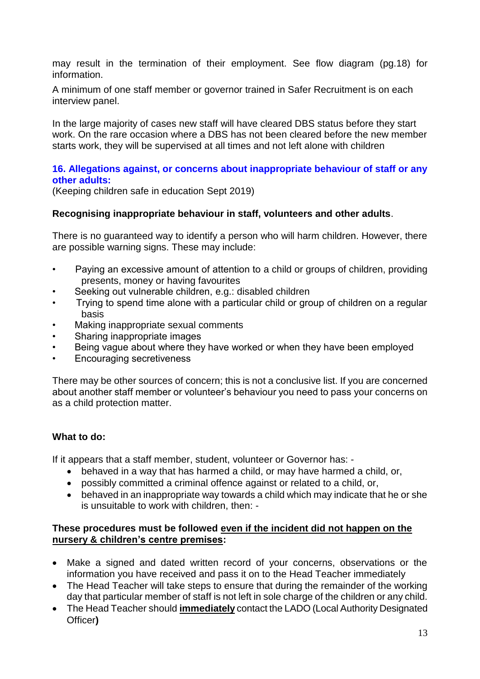may result in the termination of their employment. See flow diagram (pg.18) for information.

A minimum of one staff member or governor trained in Safer Recruitment is on each interview panel.

In the large majority of cases new staff will have cleared DBS status before they start work. On the rare occasion where a DBS has not been cleared before the new member starts work, they will be supervised at all times and not left alone with children

### **16. Allegations against, or concerns about inappropriate behaviour of staff or any other adults:**

(Keeping children safe in education Sept 2019)

#### **Recognising inappropriate behaviour in staff, volunteers and other adults**.

There is no guaranteed way to identify a person who will harm children. However, there are possible warning signs. These may include:

- Paying an excessive amount of attention to a child or groups of children, providing presents, money or having favourites
- Seeking out vulnerable children, e.g.: disabled children
- Trying to spend time alone with a particular child or group of children on a regular basis
- Making inappropriate sexual comments
- Sharing inappropriate images
- Being vague about where they have worked or when they have been employed
- Encouraging secretiveness

There may be other sources of concern; this is not a conclusive list. If you are concerned about another staff member or volunteer's behaviour you need to pass your concerns on as a child protection matter.

#### **What to do:**

If it appears that a staff member, student, volunteer or Governor has: -

- behaved in a way that has harmed a child, or may have harmed a child, or,
- possibly committed a criminal offence against or related to a child, or,
- behaved in an inappropriate way towards a child which may indicate that he or she is unsuitable to work with children, then: -

#### **These procedures must be followed even if the incident did not happen on the nursery & children's centre premises:**

- Make a signed and dated written record of your concerns, observations or the information you have received and pass it on to the Head Teacher immediately
- The Head Teacher will take steps to ensure that during the remainder of the working day that particular member of staff is not left in sole charge of the children or any child.
- The Head Teacher should **immediately** contact the LADO (Local Authority Designated Officer**)**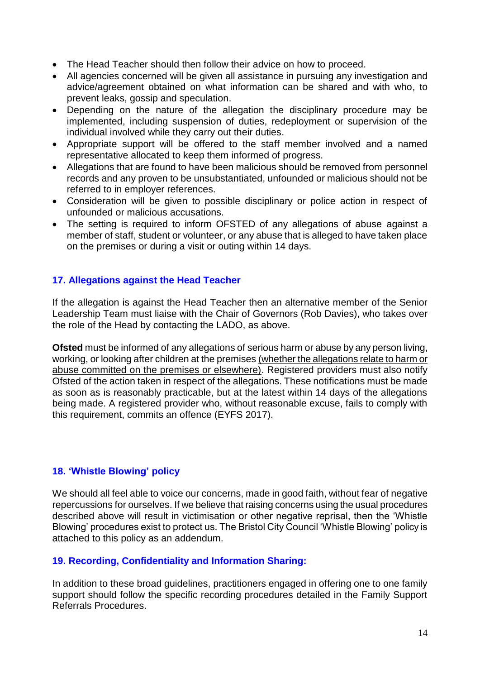- The Head Teacher should then follow their advice on how to proceed.
- All agencies concerned will be given all assistance in pursuing any investigation and advice/agreement obtained on what information can be shared and with who, to prevent leaks, gossip and speculation.
- Depending on the nature of the allegation the disciplinary procedure may be implemented, including suspension of duties, redeployment or supervision of the individual involved while they carry out their duties.
- Appropriate support will be offered to the staff member involved and a named representative allocated to keep them informed of progress.
- Allegations that are found to have been malicious should be removed from personnel records and any proven to be unsubstantiated, unfounded or malicious should not be referred to in employer references.
- Consideration will be given to possible disciplinary or police action in respect of unfounded or malicious accusations.
- The setting is required to inform OFSTED of any allegations of abuse against a member of staff, student or volunteer, or any abuse that is alleged to have taken place on the premises or during a visit or outing within 14 days.

# **17. Allegations against the Head Teacher**

If the allegation is against the Head Teacher then an alternative member of the Senior Leadership Team must liaise with the Chair of Governors (Rob Davies), who takes over the role of the Head by contacting the LADO, as above.

**Ofsted** must be informed of any allegations of serious harm or abuse by any person living, working, or looking after children at the premises (whether the allegations relate to harm or abuse committed on the premises or elsewhere). Registered providers must also notify Ofsted of the action taken in respect of the allegations. These notifications must be made as soon as is reasonably practicable, but at the latest within 14 days of the allegations being made. A registered provider who, without reasonable excuse, fails to comply with this requirement, commits an offence (EYFS 2017).

# **18. 'Whistle Blowing' policy**

We should all feel able to voice our concerns, made in good faith, without fear of negative repercussions for ourselves. If we believe that raising concerns using the usual procedures described above will result in victimisation or other negative reprisal, then the 'Whistle Blowing' procedures exist to protect us. The Bristol City Council 'Whistle Blowing' policy is attached to this policy as an addendum.

# **19. Recording, Confidentiality and Information Sharing:**

In addition to these broad guidelines, practitioners engaged in offering one to one family support should follow the specific recording procedures detailed in the Family Support Referrals Procedures.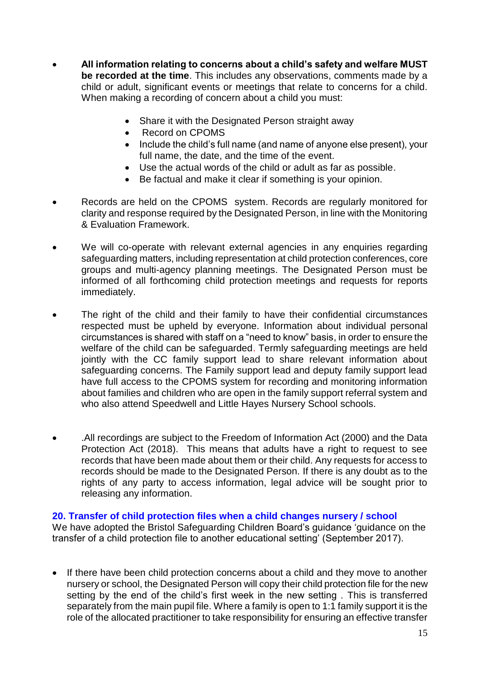- **All information relating to concerns about a child's safety and welfare MUST be recorded at the time**. This includes any observations, comments made by a child or adult, significant events or meetings that relate to concerns for a child. When making a recording of concern about a child you must:
	- Share it with the Designated Person straight away
	- Record on CPOMS
	- Include the child's full name (and name of anyone else present), your full name, the date, and the time of the event.
	- Use the actual words of the child or adult as far as possible.
	- Be factual and make it clear if something is your opinion.
- Records are held on the CPOMS system. Records are regularly monitored for clarity and response required by the Designated Person, in line with the Monitoring & Evaluation Framework.
- We will co-operate with relevant external agencies in any enquiries regarding safeguarding matters, including representation at child protection conferences, core groups and multi-agency planning meetings. The Designated Person must be informed of all forthcoming child protection meetings and requests for reports immediately.
- The right of the child and their family to have their confidential circumstances respected must be upheld by everyone. Information about individual personal circumstances is shared with staff on a "need to know" basis, in order to ensure the welfare of the child can be safeguarded. Termly safeguarding meetings are held jointly with the CC family support lead to share relevant information about safeguarding concerns. The Family support lead and deputy family support lead have full access to the CPOMS system for recording and monitoring information about families and children who are open in the family support referral system and who also attend Speedwell and Little Hayes Nursery School schools.
- .All recordings are subject to the Freedom of Information Act (2000) and the Data Protection Act (2018). This means that adults have a right to request to see records that have been made about them or their child. Any requests for access to records should be made to the Designated Person. If there is any doubt as to the rights of any party to access information, legal advice will be sought prior to releasing any information.

#### **20. Transfer of child protection files when a child changes nursery / school**

We have adopted the Bristol Safeguarding Children Board's guidance 'guidance on the transfer of a child protection file to another educational setting' (September 2017).

• If there have been child protection concerns about a child and they move to another nursery or school, the Designated Person will copy their child protection file for the new setting by the end of the child's first week in the new setting . This is transferred separately from the main pupil file. Where a family is open to 1:1 family support it is the role of the allocated practitioner to take responsibility for ensuring an effective transfer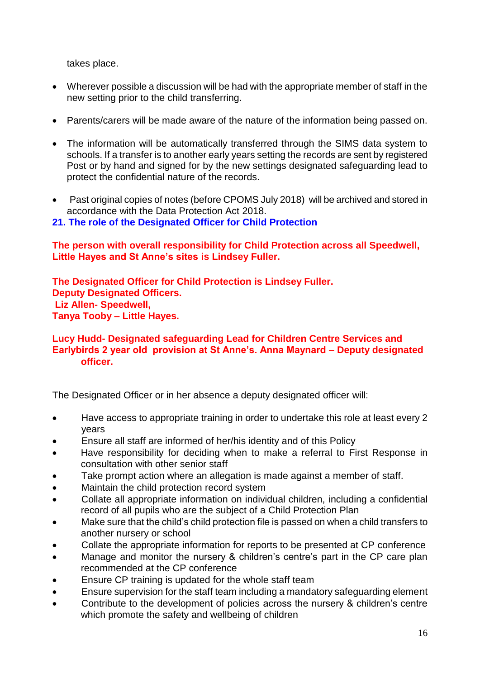takes place.

- Wherever possible a discussion will be had with the appropriate member of staff in the new setting prior to the child transferring.
- Parents/carers will be made aware of the nature of the information being passed on.
- The information will be automatically transferred through the SIMS data system to schools. If a transfer is to another early years setting the records are sent by registered Post or by hand and signed for by the new settings designated safeguarding lead to protect the confidential nature of the records.
- Past original copies of notes (before CPOMS July 2018) will be archived and stored in accordance with the Data Protection Act 2018.
- **21. The role of the Designated Officer for Child Protection**

**The person with overall responsibility for Child Protection across all Speedwell, Little Hayes and St Anne's sites is Lindsey Fuller.**

**The Designated Officer for Child Protection is Lindsey Fuller. Deputy Designated Officers. Liz Allen- Speedwell, Tanya Tooby – Little Hayes.** 

## **Lucy Hudd- Designated safeguarding Lead for Children Centre Services and Earlybirds 2 year old provision at St Anne's. Anna Maynard – Deputy designated officer.**

The Designated Officer or in her absence a deputy designated officer will:

- Have access to appropriate training in order to undertake this role at least every 2 years
- Ensure all staff are informed of her/his identity and of this Policy
- Have responsibility for deciding when to make a referral to First Response in consultation with other senior staff
- Take prompt action where an allegation is made against a member of staff.
- Maintain the child protection record system
- Collate all appropriate information on individual children, including a confidential record of all pupils who are the subject of a Child Protection Plan
- Make sure that the child's child protection file is passed on when a child transfers to another nursery or school
- Collate the appropriate information for reports to be presented at CP conference
- Manage and monitor the nursery & children's centre's part in the CP care plan recommended at the CP conference
- Ensure CP training is updated for the whole staff team
- Ensure supervision for the staff team including a mandatory safeguarding element
- Contribute to the development of policies across the nursery & children's centre which promote the safety and wellbeing of children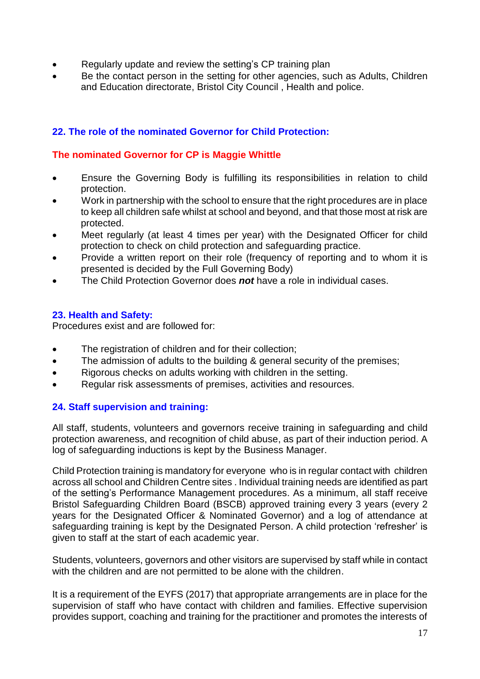- Regularly update and review the setting's CP training plan
- Be the contact person in the setting for other agencies, such as Adults, Children and Education directorate, Bristol City Council , Health and police.

# **22. The role of the nominated Governor for Child Protection:**

#### **The nominated Governor for CP is Maggie Whittle**

- Ensure the Governing Body is fulfilling its responsibilities in relation to child protection.
- Work in partnership with the school to ensure that the right procedures are in place to keep all children safe whilst at school and beyond, and that those most at risk are protected.
- Meet regularly (at least 4 times per year) with the Designated Officer for child protection to check on child protection and safeguarding practice.
- Provide a written report on their role (frequency of reporting and to whom it is presented is decided by the Full Governing Body)
- The Child Protection Governor does *not* have a role in individual cases.

## **23. Health and Safety:**

Procedures exist and are followed for:

- The registration of children and for their collection;
- The admission of adults to the building & general security of the premises;
- Rigorous checks on adults working with children in the setting.
- Regular risk assessments of premises, activities and resources.

# **24. Staff supervision and training:**

All staff, students, volunteers and governors receive training in safeguarding and child protection awareness, and recognition of child abuse, as part of their induction period. A log of safeguarding inductions is kept by the Business Manager.

Child Protection training is mandatory for everyone who is in regular contact with children across all school and Children Centre sites . Individual training needs are identified as part of the setting's Performance Management procedures. As a minimum, all staff receive Bristol Safeguarding Children Board (BSCB) approved training every 3 years (every 2 years for the Designated Officer & Nominated Governor) and a log of attendance at safeguarding training is kept by the Designated Person. A child protection 'refresher' is given to staff at the start of each academic year.

Students, volunteers, governors and other visitors are supervised by staff while in contact with the children and are not permitted to be alone with the children.

It is a requirement of the EYFS (2017) that appropriate arrangements are in place for the supervision of staff who have contact with children and families. Effective supervision provides support, coaching and training for the practitioner and promotes the interests of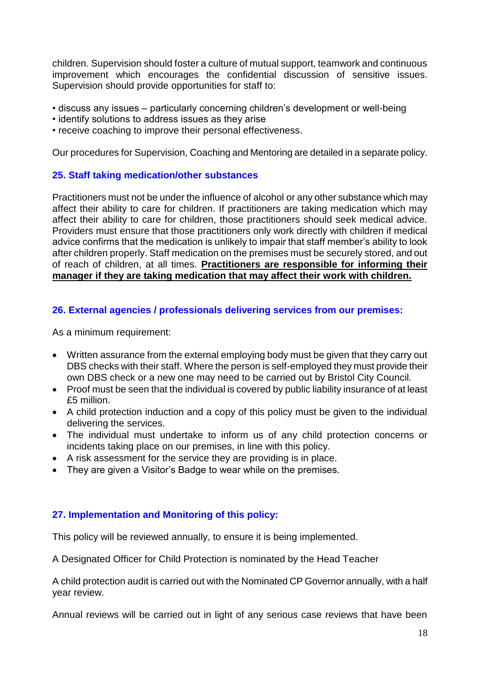children. Supervision should foster a culture of mutual support, teamwork and continuous improvement which encourages the confidential discussion of sensitive issues. Supervision should provide opportunities for staff to:

- discuss any issues particularly concerning children's development or well-being
- identify solutions to address issues as they arise
- receive coaching to improve their personal effectiveness.

Our procedures for Supervision, Coaching and Mentoring are detailed in a separate policy.

# **25. Staff taking medication/other substances**

Practitioners must not be under the influence of alcohol or any other substance which may affect their ability to care for children. If practitioners are taking medication which may affect their ability to care for children, those practitioners should seek medical advice. Providers must ensure that those practitioners only work directly with children if medical advice confirms that the medication is unlikely to impair that staff member's ability to look after children properly. Staff medication on the premises must be securely stored, and out of reach of children, at all times. **Practitioners are responsible for informing their manager if they are taking medication that may affect their work with children.**

## **26. External agencies / professionals delivering services from our premises:**

As a minimum requirement:

- Written assurance from the external employing body must be given that they carry out DBS checks with their staff. Where the person is self-employed they must provide their own DBS check or a new one may need to be carried out by Bristol City Council.
- Proof must be seen that the individual is covered by public liability insurance of at least £5 million.
- A child protection induction and a copy of this policy must be given to the individual delivering the services.
- The individual must undertake to inform us of any child protection concerns or incidents taking place on our premises, in line with this policy.
- A risk assessment for the service they are providing is in place.
- They are given a Visitor's Badge to wear while on the premises.

# **27. Implementation and Monitoring of this policy:**

This policy will be reviewed annually, to ensure it is being implemented.

A Designated Officer for Child Protection is nominated by the Head Teacher

A child protection audit is carried out with the Nominated CP Governor annually, with a half year review.

Annual reviews will be carried out in light of any serious case reviews that have been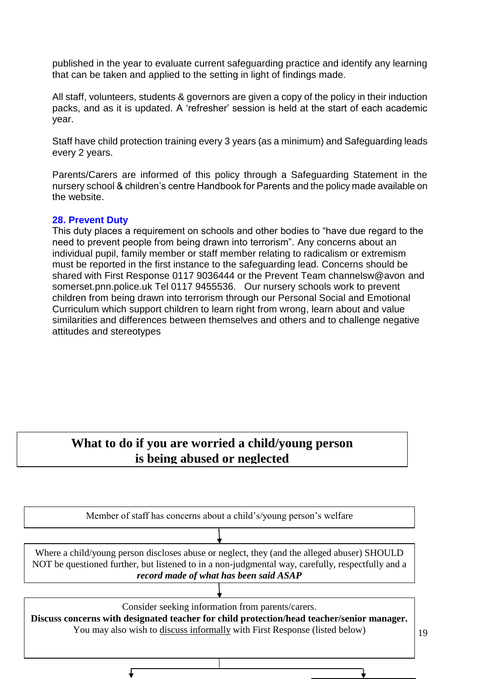published in the year to evaluate current safeguarding practice and identify any learning that can be taken and applied to the setting in light of findings made.

All staff, volunteers, students & governors are given a copy of the policy in their induction packs, and as it is updated. A 'refresher' session is held at the start of each academic year.

Staff have child protection training every 3 years (as a minimum) and Safeguarding leads every 2 years.

Parents/Carers are informed of this policy through a Safeguarding Statement in the nursery school & children's centre Handbook for Parents and the policy made available on the website.

#### **28. Prevent Duty**

This duty places a requirement on schools and other bodies to "have due regard to the need to prevent people from being drawn into terrorism". Any concerns about an individual pupil, family member or staff member relating to radicalism or extremism must be reported in the first instance to the safeguarding lead. Concerns should be shared with First Response 0117 9036444 or the Prevent Team channelsw@avon and somerset.pnn.police.uk Tel 0117 9455536. Our nursery schools work to prevent children from being drawn into terrorism through our Personal Social and Emotional Curriculum which support children to learn right from wrong, learn about and value similarities and differences between themselves and others and to challenge negative attitudes and stereotypes

# What to do if you are worried a child/young person **is being abused or neglected**

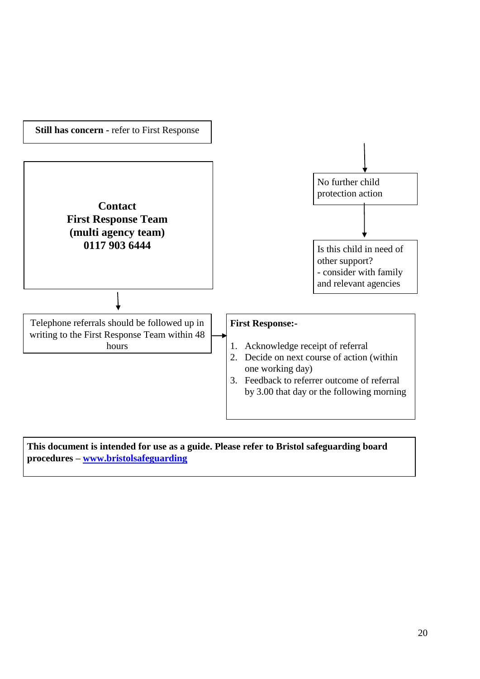

**This document is intended for use as a guide. Please refer to Bristol safeguarding board procedures – [www.bristolsafeguarding](http://www.bristolsafeguarding/)**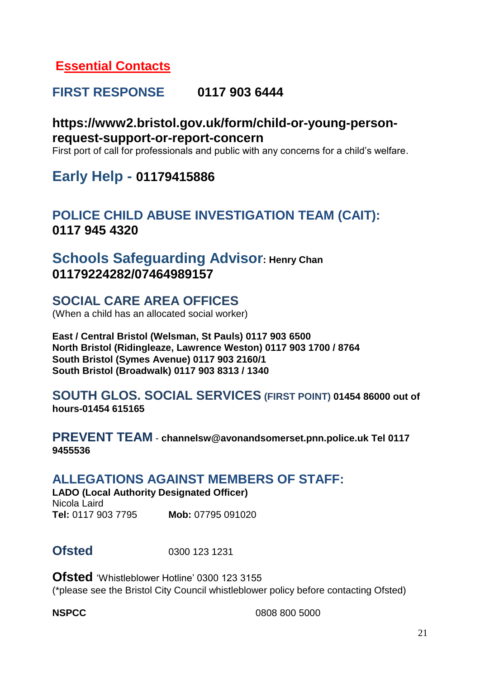# **Essential Contacts**

# **FIRST RESPONSE 0117 903 6444**

# **https://www2.bristol.gov.uk/form/child-or-young-personrequest-support-or-report-concern**

First port of call for professionals and public with any concerns for a child's welfare.

# **Early Help - 01179415886**

# **POLICE CHILD ABUSE INVESTIGATION TEAM (CAIT): 0117 945 4320**

# **Schools Safeguarding Advisor: Henry Chan 01179224282/07464989157**

# **SOCIAL CARE AREA OFFICES**

(When a child has an allocated social worker)

**East / Central Bristol (Welsman, St Pauls) 0117 903 6500 North Bristol (Ridingleaze, Lawrence Weston) 0117 903 1700 / 8764 South Bristol (Symes Avenue) 0117 903 2160/1 South Bristol (Broadwalk) 0117 903 8313 / 1340**

# **SOUTH GLOS. SOCIAL SERVICES (FIRST POINT) 01454 86000 out of hours-01454 615165**

**PREVENT TEAM** - **channelsw@avonandsomerset.pnn.police.uk Tel 0117 9455536**

# **ALLEGATIONS AGAINST MEMBERS OF STAFF:**

**LADO (Local Authority Designated Officer)** Nicola Laird **Tel:** 0117 903 7795 **Mob:** 07795 091020

**Ofsted** 0300 123 1231

**Ofsted** 'Whistleblower Hotline' 0300 123 3155 (\*please see the Bristol City Council whistleblower policy before contacting Ofsted)

**NSPCC** 0808 800 5000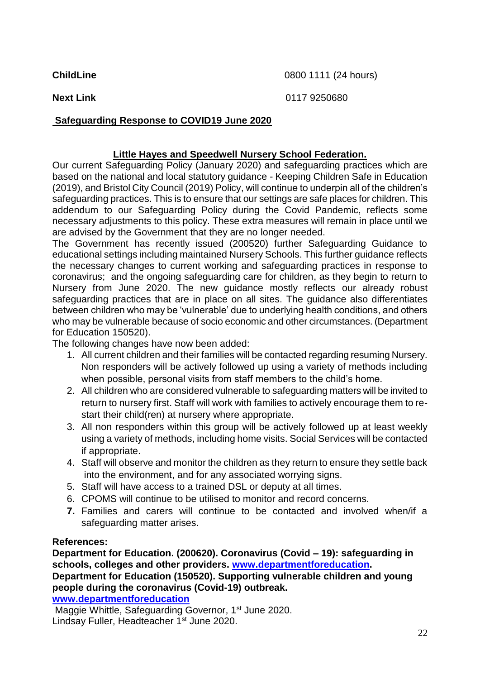**ChildLine** 0800 1111 (24 hours)

**Next Link** 0117 9250680

## **Safeguarding Response to COVID19 June 2020**

## **Little Hayes and Speedwell Nursery School Federation.**

Our current Safeguarding Policy (January 2020) and safeguarding practices which are based on the national and local statutory guidance - Keeping Children Safe in Education (2019), and Bristol City Council (2019) Policy, will continue to underpin all of the children's safeguarding practices. This is to ensure that our settings are safe places for children. This addendum to our Safeguarding Policy during the Covid Pandemic, reflects some necessary adjustments to this policy. These extra measures will remain in place until we are advised by the Government that they are no longer needed.

The Government has recently issued (200520) further Safeguarding Guidance to educational settings including maintained Nursery Schools. This further guidance reflects the necessary changes to current working and safeguarding practices in response to coronavirus; and the ongoing safeguarding care for children, as they begin to return to Nursery from June 2020. The new guidance mostly reflects our already robust safeguarding practices that are in place on all sites. The guidance also differentiates between children who may be 'vulnerable' due to underlying health conditions, and others who may be vulnerable because of socio economic and other circumstances. (Department for Education 150520).

The following changes have now been added:

- 1. All current children and their families will be contacted regarding resuming Nursery. Non responders will be actively followed up using a variety of methods including when possible, personal visits from staff members to the child's home.
- 2. All children who are considered vulnerable to safeguarding matters will be invited to return to nursery first. Staff will work with families to actively encourage them to restart their child(ren) at nursery where appropriate.
- 3. All non responders within this group will be actively followed up at least weekly using a variety of methods, including home visits. Social Services will be contacted if appropriate.
- 4. Staff will observe and monitor the children as they return to ensure they settle back into the environment, and for any associated worrying signs.
- 5. Staff will have access to a trained DSL or deputy at all times.
- 6. CPOMS will continue to be utilised to monitor and record concerns.
- **7.** Families and carers will continue to be contacted and involved when/if a safeguarding matter arises.

# **References:**

**Department for Education. (200620). Coronavirus (Covid – 19): safeguarding in schools, colleges and other providers. [www.departmentforeducation.](http://www.departmentforeducation/) Department for Education (150520). Supporting vulnerable children and young people during the coronavirus (Covid-19) outbreak. [www.departmentforeducation](http://www.departmentforeducation/)**

Maggie Whittle, Safeguarding Governor, 1<sup>st</sup> June 2020. Lindsay Fuller, Headteacher 1<sup>st</sup> June 2020.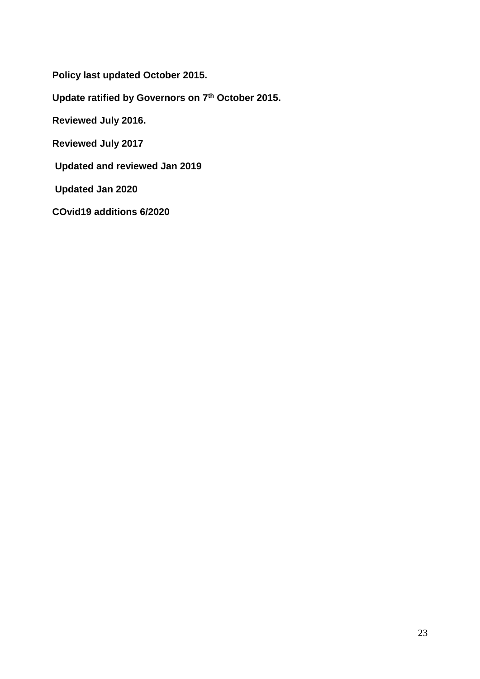**Policy last updated October 2015.**

**Update ratified by Governors on 7th October 2015.**

**Reviewed July 2016.**

**Reviewed July 2017**

**Updated and reviewed Jan 2019**

**Updated Jan 2020** 

**COvid19 additions 6/2020**